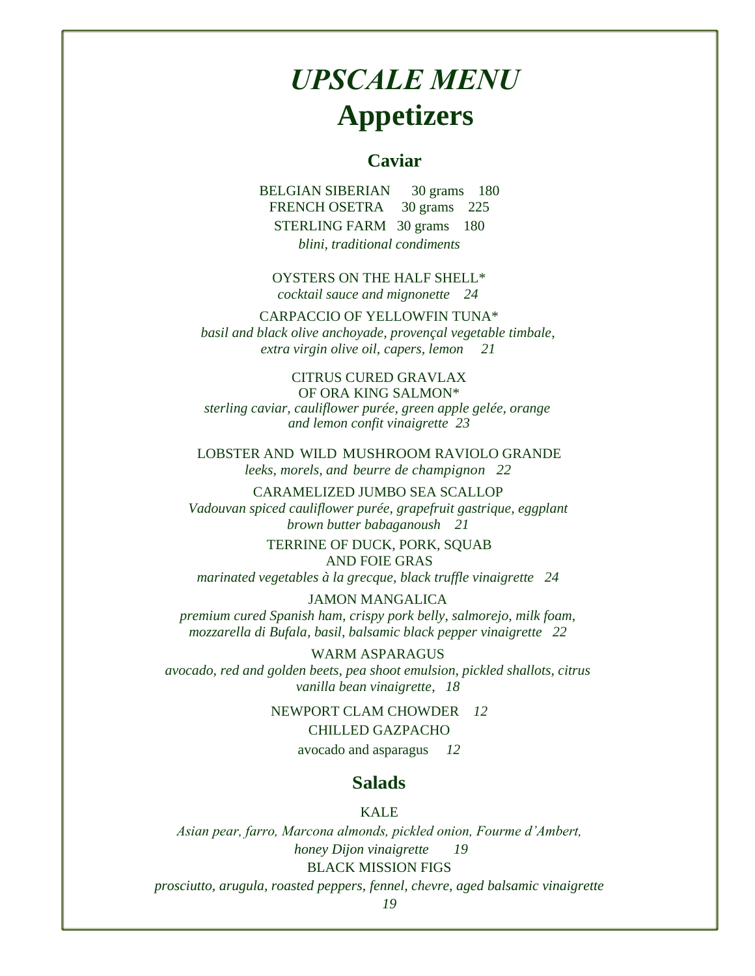# *UPSCALE MENU* **Appetizers**

## **Caviar**

BELGIAN SIBERIAN 30 grams 180 FRENCH OSETRA 30 grams 225 STERLING FARM 30 grams 180 *blini, traditional condiments* 

OYSTERS ON THE HALF SHELL\* *cocktail sauce and mignonette 24* 

#### CARPACCIO OF YELLOWFIN TUNA\*

*basil and black olive anchoyade, provençal vegetable timbale, extra virgin olive oil, capers, lemon 21* 

#### CITRUS CURED GRAVLAX OF ORA KING SALMON\*

*sterling caviar, cauliflower purée, green apple gelée, orange and lemon confit vinaigrette 23* 

LOBSTER AND WILD MUSHROOM RAVIOLO GRANDE *leeks, morels, and beurre de champignon 22* 

### CARAMELIZED JUMBO SEA SCALLOP

*Vadouvan spiced cauliflower purée, grapefruit gastrique, eggplant brown butter babaganoush 21* 

> TERRINE OF DUCK, PORK, SQUAB AND FOIE GRAS

*marinated vegetables à la grecque, black truffle vinaigrette 24* 

## JAMON MANGALICA

*premium cured Spanish ham, crispy pork belly, salmorejo, milk foam, mozzarella di Bufala, basil, balsamic black pepper vinaigrette 22* 

WARM ASPARAGUS *avocado, red and golden beets, pea shoot emulsion, pickled shallots, citrus vanilla bean vinaigrette, 18* 

NEWPORT CLAM CHOWDER *12* 

#### CHILLED GAZPACHO

avocado and asparagus *12* 

### **Salads**

KALE

*Asian pear, farro, Marcona almonds, pickled onion, Fourme d'Ambert, honey Dijon vinaigrette 19*  BLACK MISSION FIGS

*prosciutto, arugula, roasted peppers, fennel, chevre, aged balsamic vinaigrette*